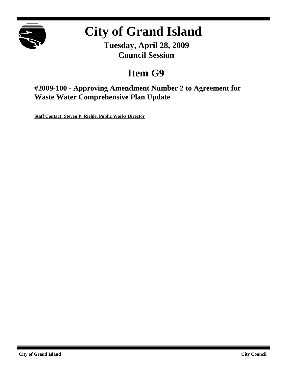

# **City of Grand Island**

**Tuesday, April 28, 2009 Council Session**

## **Item G9**

**#2009-100 - Approving Amendment Number 2 to Agreement for Waste Water Comprehensive Plan Update**

**Staff Contact: Steven P. Riehle, Public Works Director**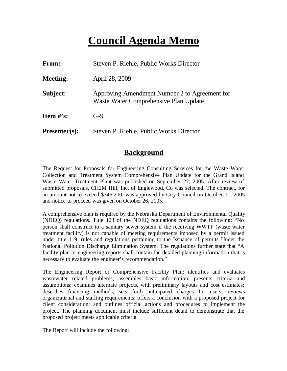## **Council Agenda Memo**

| From:           | Steven P. Riehle, Public Works Director                                                |
|-----------------|----------------------------------------------------------------------------------------|
| <b>Meeting:</b> | April 28, 2009                                                                         |
| Subject:        | Approving Amendment Number 2 to Agreement for<br>Waste Water Comprehensive Plan Update |
| Item $\#$ 's:   | $G-9$                                                                                  |
| $Presenter(s):$ | Steven P. Riehle, Public Works Director                                                |

## **Background**

The Request for Proposals for Engineering Consulting Services for the Waste Water Collection and Treatment System Comprehensive Plan Update for the Grand Island Waste Water Treatment Plant was published on September 27, 2005. After review of submitted proposals, CH2M Hill, Inc. of Englewood, Co was selected. The contract, for an amount not to exceed \$346,200, was approved by City Council on October 11, 2005 and notice to proceed was given on October 26, 2005.

A comprehensive plan is required by the Nebraska Department of Environmental Quality (NDEQ) regulations. Title 123 of the NDEQ regulations contains the following: "No person shall construct to a sanitary sewer system if the receiving WWTF (waste water treatment facility) is not capable of meeting requirements imposed by a permit issued under title 119, rules and regulations pertaining to the Issuance of permits Under the National Pollution Discharge Elimination System. The regulations further state that "A facility plan or engineering reports shall contain the detailed planning information that is necessary to evaluate the engineer's recommendation."

The Engineering Report or Comprehensive Facility Plan: identifies and evaluates wastewater related problems; assembles basic information; presents criteria and assumptions; examines alternate projects, with preliminary layouts and cost estimates; describes financing methods, sets forth anticipated charges for users; reviews organizational and staffing requirements; offers a conclusion with a proposed project for client consideration; and outlines official actions and procedures to implement the project. The planning document must include sufficient detail to demonstrate that the proposed project meets applicable criteria.

The Report will include the following: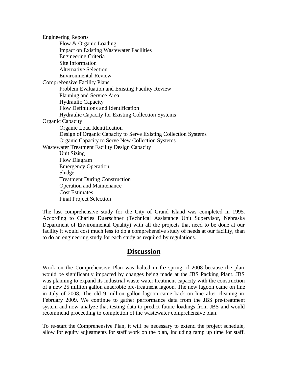Engineering Reports Flow & Organic Loading Impact on Existing Wastewater Facilities Engineering Criteria Site Information Alternative Selection Environmental Review Comprehensive Facility Plans Problem Evaluation and Existing Facility Review Planning and Service Area Hydraulic Capacity Flow Definitions and Identification Hydraulic Capacity for Existing Collection Systems Organic Capacity Organic Load Identification Design of Organic Capacity to Serve Existing Collection Systems Organic Capacity to Serve New Collection Systems Wastewater Treatment Facility Design Capacity Unit Sizing Flow Diagram Emergency Operation Sludge Treatment During Construction Operation and Maintenance Cost Estimates Final Project Selection

The last comprehensive study for the City of Grand Island was completed in 1995. According to Charles Duerschner (Technical Assistance Unit Supervisor, Nebraska Department of Environmental Quality) with all the projects that need to be done at our facility it would cost much less to do a comprehensive study of needs at our facility, than to do an engineering study for each study as required by regulations.

#### **Discussion**

Work on the Comprehensive Plan was halted in the spring of 2008 because the plan would be significantly impacted by changes being made at the JBS Packing Plant. JBS was planning to expand its industrial waste water treatment capacity with the construction of a new 25 million gallon anaerobic pre-treatment lagoon. The new lagoon came on line in July of 2008. The old 9 million gallon lagoon came back on line after cleaning in February 2009. We continue to gather performance data from the JBS pre-treatment system and now analyze that testing data to predict future loadings from JBS and would recommend proceeding to completion of the wastewater comprehensive plan.

To re-start the Comprehensive Plan, it will be necessary to extend the project schedule, allow for equity adjustments for staff work on the plan, including ramp up time for staff.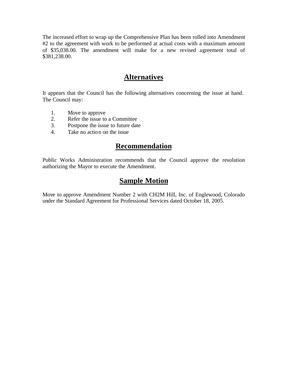The increased effort to wrap up the Comprehensive Plan has been rolled into Amendment #2 to the agreement with work to be performed at actual costs with a maximum amount of \$35,038.00. The amendment will make for a new revised agreement total of \$381,238.00.

## **Alternatives**

It appears that the Council has the following alternatives concerning the issue at hand. The Council may:

- 1. Move to approve
- 2. Refer the issue to a Committee
- 3. Postpone the issue to future date
- 4. Take no action on the issue

## **Recommendation**

Public Works Administration recommends that the Council approve the resolution authorizing the Mayor to execute the Amendment.

## **Sample Motion**

Move to approve Amendment Number 2 with CH2M Hill, Inc. of Englewood, Colorado under the Standard Agreement for Professional Services dated October 18, 2005.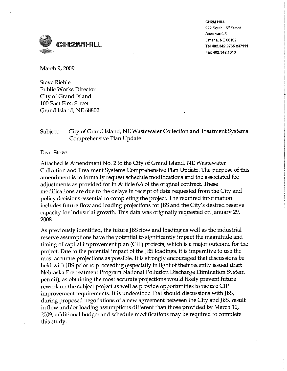

**CH2M HILL** 222 South 15th Street Suite 1402-S Omaha, NE 68102 Tel 402.342.9765 x37111 Fax 402.342.1313

March 9, 2009

**Steve Riehle Public Works Director** City of Grand Island **100 East First Street** Grand Island, NE 68802

#### City of Grand Island, NE Wastewater Collection and Treatment Systems Subject: Comprehensive Plan Update

Dear Steve:

Attached is Amendment No. 2 to the City of Grand Island, NE Wastewater Collection and Treatment Systems Comprehensive Plan Update. The purpose of this amendment is to formally request schedule modifications and the associated fee adjustments as provided for in Article 6.6 of the original contract. These modifications are due to the delays in receipt of data requested from the City and policy decisions essential to completing the project. The required information includes future flow and loading projections for JBS and the City's desired reserve capacity for industrial growth. This data was originally requested on January 29, 2008.

As previously identified, the future JBS flow and loading as well as the industrial reserve assumptions have the potential to significantly impact the magnitude and timing of capital improvement plan (CIP) projects, which is a major outcome for the project. Due to the potential impact of the JBS loadings, it is imperative to use the most accurate projections as possible. It is strongly encouraged that discussions be held with JBS prior to proceeding (especially in light of their recently issued draft Nebraska Pretreatment Program National Pollution Discharge Elimination System permit), as obtaining the most accurate projections would likely prevent future rework on the subject project as well as provide opportunities to reduce CIP improvement requirements. It is understood that should discussions with JBS, during proposed negotiations of a new agreement between the City and JBS, result in flow and/or loading assumptions different than those provided by March 10, 2009, additional budget and schedule modifications may be required to complete this study.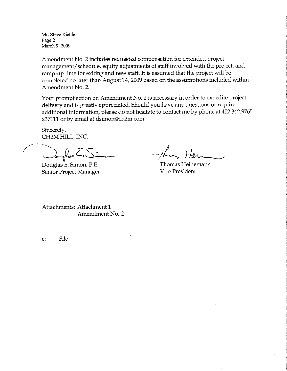Mr. Steve Riehle Page 2 March 9, 2009

Amendment No. 2 includes requested compensation for extended project management/schedule, equity adjustments of staff involved with the project, and ramp-up time for exiting and new staff. It is assumed that the project will be completed no later than August 14, 2009 based on the assumptions included within Amendment No. 2.

Your prompt action on Amendment No. 2 is necessary in order to expedite project delivery and is greatly appreciated. Should you have any questions or require additional information, please do not hesitate to contact me by phone at 402.342.9765 x37111 or by email at dsimon@ch2m.com.

Sincerely, CH2M HILL, INC.

 $\mu_{\rm obs}$  $\epsilon_{\rm B}$ 

Douglas E. Simon, P.E. Senior Project Manager

Thomas Heinemann **Vice President** 

Attachments: Attachment 1 Amendment No. 2

File  $\mathbf{C}$ :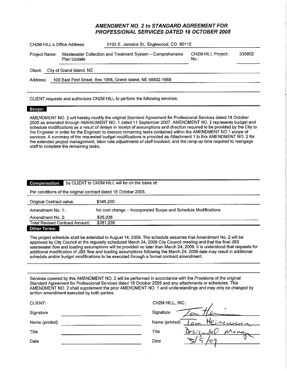#### **AMENDMENT NO. 2 to STANDARD AGREEMENT FOR PROFESSIONAL SERVICES DATED 18 OCTOBER 2005**

| CH2M HILL's Office Address: |                          | 9193 S. Jamaica St., Englewood, CO 80112                     |                                  |        |  |
|-----------------------------|--------------------------|--------------------------------------------------------------|----------------------------------|--------|--|
| Project Name:               | Plan Update              | Wastewater Collection and Treatment System - Comprehensive   | <b>CH2M HILL Project:</b><br>No. | 335802 |  |
| Client:                     | City of Grand Island, NE |                                                              |                                  |        |  |
| Address:                    |                          | 100 East First Street, Box 1968, Grand Island, NE 68802-1968 |                                  |        |  |
|                             |                          |                                                              |                                  |        |  |

CLIENT requests and authorizes CH2M HILL to perform the following services:

#### Scope:

AMENDMENT NO. 2 will hereby modify the original Standard Agreement for Professional Services dated 18 October 2005 as amended through AMENDMENT NO. 1 dated 11 September 2007. AMENDMENT NO. 2 represents budget and schedule modifications as a result of delays in receipt of assumptions and direction required to be provided by the City to the Engineer in order for the Engineer to execute remaining tasks contained within the AMENDMENT NO 1 scope of services. A summary of the requested budget modifications is provided as Attachment 1 to this AMENDMENT NO. 2 for the extended project management, labor rate adjustments of staff involved, and the ramp-up time required to reengage staff to complete the remaining tasks.

| by CLIENT to CH2M HILL will be on the basis of:<br>Compensation |                                                                |  |  |  |  |
|-----------------------------------------------------------------|----------------------------------------------------------------|--|--|--|--|
| Per conditions of the original contract dated 18 October 2005.  |                                                                |  |  |  |  |
| Original Contract value:                                        | \$346,200                                                      |  |  |  |  |
| Amendment No. 1:                                                | No cost change - Incorporated Scope and Schedule Modifications |  |  |  |  |
| Amendment No. 2:                                                | \$35.038                                                       |  |  |  |  |
| <b>Total Revised Contract Amount:</b>                           | \$381,238                                                      |  |  |  |  |
| Other Terms:                                                    |                                                                |  |  |  |  |

The project schedule shall be extended to August 14, 2009. The schedule assumes that Amendment No. 2 will be approved by City Council at the regularly scheduled March 24, 2009 City Council meeting and that the final JBS wastewater flow and loading assumptions will be provided no later than March 24, 2009. It is understood that requests for additional modification of JBS flow and loading assumptions following the March 24, 2009 date may result in additional schedule and/or budget modifications to be executed through a formal contract amendment.

Services covered by this AMENDMENT NO. 2 will be performed in accordance with the Provisions of the original Standard Agreement for Professional Services dated 18 October 2005 and any attachments or schedules. This AMENDMENT NO. 2 shall supplement the prior AMENDMENT NO. 1 and understandings and may only be changed by written amendment executed by both parties.

| CH2M HILL, INC.:                   |
|------------------------------------|
| Signature                          |
| Ιρ∵.<br>Name (printed)<br>inerrain |
| Title<br>255<br>24.31              |
| Date                               |
|                                    |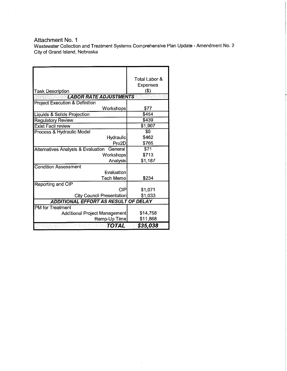Attachment No. 1

 $\sim$ 

Wastewater Collection and Treatment Systems Comprehensive Plan Update - Amendment No. 2<br>City of Grand Island, Nebraska

 $\bar{\gamma}$ 

 $\sim$ 

| <b>Task Description</b><br><b>LABOR RATE ADJUSTMENTS</b> | Total Labor &<br><b>Expenses</b><br>(3) |
|----------------------------------------------------------|-----------------------------------------|
| <b>Project Execution &amp; Definition</b>                |                                         |
| Workshops                                                | \$77                                    |
| Liquids & Solids Projection                              | \$454                                   |
| <b>Regulatory Review</b>                                 | \$439                                   |
| <b>Exist Facil review</b>                                | \$1,907                                 |
| Process & Hydraulic Model                                | \$0                                     |
| Hydraulic                                                | \$462                                   |
| Pro2D                                                    | \$765                                   |
| Alternatives Analysis & Evaluation<br>General            | \$71                                    |
| Workshops                                                | \$713                                   |
| Analysis                                                 | \$1,187                                 |
| <b>Condition Assessment</b>                              |                                         |
| Evaluation                                               |                                         |
| <b>Tech Memo</b>                                         | \$234                                   |
| Reporting and CIP                                        |                                         |
| CIP                                                      | \$1,071                                 |
| <b>City Council Presentation</b>                         | \$1,033                                 |
| ADDITIONAL EFFORT AS RESULT OF DELAY                     |                                         |
| <b>PM</b> for Treatment                                  |                                         |
| Additional Project Management                            | \$14,758                                |
| Ramp-Up Time                                             | \$11,868                                |
| <b>TOTAL</b>                                             | \$35,038                                |